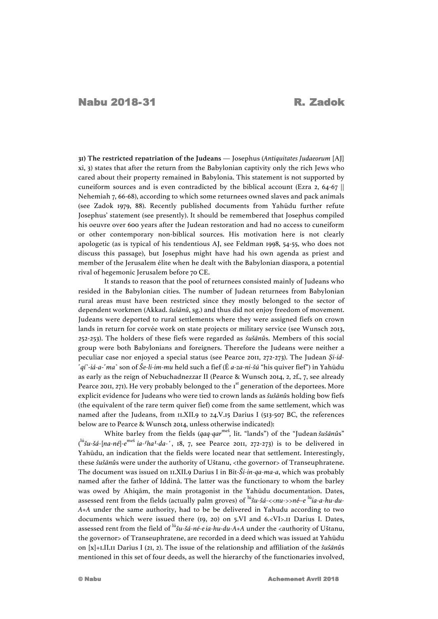**31) The restricted repatriation of the Judeans** — Josephus (*Antiquitates Judaeorum* [AJ] xi, 3) states that after the return from the Babylonian captivity only the rich Jews who cared about their property remained in Babylonia. This statement is not supported by cuneiform sources and is even contradicted by the biblical account (Ezra 2, 64-67 || Nehemiah 7, 66-68), according to which some returnees owned slaves and pack animals (see Zadok 1979, 88). Recently published documents from Yahūdu further refute Josephus' statement (see presently). It should be remembered that Josephus compiled his oeuvre over 600 years after the Judean restoration and had no access to cuneiform or other contemporary non-biblical sources. His motivation here is not clearly apologetic (as is typical of his tendentious AJ, see Feldman 1998, 54-55, who does not discuss this passage), but Josephus might have had his own agenda as priest and member of the Jerusalem élite when he dealt with the Babylonian diaspora, a potential rival of hegemonic Jerusalem before 70 CE.

It stands to reason that the pool of returnees consisted mainly of Judeans who resided in the Babylonian cities. The number of Judean returnees from Babylonian rural areas must have been restricted since they mostly belonged to the sector of dependent workmen (Akkad. *šušānû*, sg.) and thus did not enjoy freedom of movement. Judeans were deported to rural settlements where they were assigned fiefs on crown lands in return for corvée work on state projects or military service (see Wunsch 2013, 252-253). The holders of these fiefs were regarded as *šušānû*s. Members of this social group were both Babylonians and foreigners. Therefore the Judeans were neither a peculiar case nor enjoyed a special status (see Pearce 2011, 272-273). The Judean *Ṣi-id-* ˹*qí*˺-*iá-a*-˹*ma*˺ son of *Še-li-im-mu* held such a fief (É *a-za-ni-šú* "his quiver fief") in Yahūdu as early as the reign of Nebuchadnezzar II (Pearce & Wunsch 2014, 2, 2f., 7, see already Pearce 2011, 271). He very probably belonged to the  $1<sup>st</sup>$  generation of the deportees. More explicit evidence for Judeans who were tied to crown lands as *šušānû*s holding bow fiefs (the equivalent of the rare term quiver fief) come from the same settlement, which was named after the Judeans, from 11.XII.9 to 24.V.15 Darius I (513-507 BC, the references below are to Pearce & Wunsch 2014, unless otherwise indicated):

White barley from the fields (qaq-qar<sup>meš</sup>, lit. "lands") of the "Judean *šušānû*s" ( lú*šu-šá-*[*na-né*]*-e* me<sup>š</sup> *ia-⸢ha⸣-da-'*, 18, 7, see Pearce 2011, 272-273) is to be delivered in Yahūdu, an indication that the fields were located near that settlement. Interestingly, these *šušānû*s were under the authority of Uštanu, <the governor> of Transeuphratene. The document was issued on 11.XII.9 Darius I in Bīt-*Ši-in-qa-ma-a*, which was probably named after the father of Iddinâ. The latter was the functionary to whom the barley was owed by Ahiqām, the main protagonist in the Yahūdu documentation. Dates, assessed rent from the fields (actually palm groves) of lú*šu-šá-*<<*nu-*>>*né–e* lú*ia-a-hu-du-A+A* under the same authority, had to be be delivered in Yahudu according to two documents which were issued there (19, 20) on 5.VI and 6.<VI>.II Darius I. Dates, assessed rent from the field of lú*šu-šá-né-eia-hu-du-A+A* under the <authority of Uštanu, the governor> of Transeuphratene, are recorded in a deed which was issued at Yahūdu on [x]+1.II.11 Darius I (21, 2). The issue of the relationship and affiliation of the *šušānû*s mentioned in this set of four deeds, as well the hierarchy of the functionaries involved,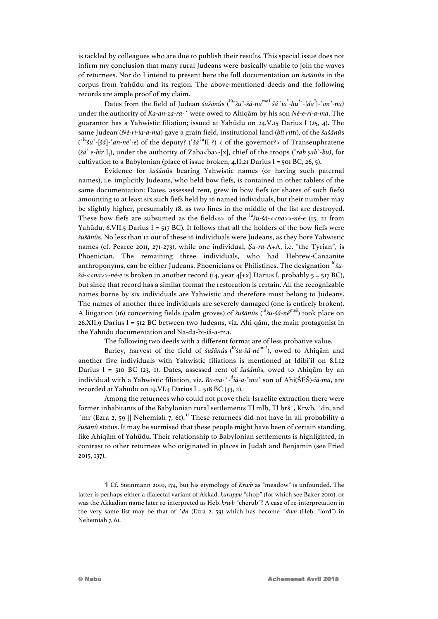is tackled by colleagues who are due to publish their results. This special issue does not infirm my conclusion that many rural Judeans were basically unable to join the waves of returnees. Nor do I intend to present here the full documentation on *šušānû*s in the corpus from Yahūdu and its region. The above-mentioned deeds and the following records are ample proof of my claim.

Dates from the field of Judean *šušānûs* (<sup>lú</sup><sup>*·</sup>šu*<sup>*·</sup>šá-na*<sup>meš</sup> šá 'ia<sup>?</sup>-hu<sup>?</sup>'-[da<sup>?</sup>]-'an'-na)</sup></sup> under the authority of *Ka-an-za-ra-'* were owed to Ahiqām by his son *Né-e-ri-a-ma*. The guarantor has a Yahwistic filiation; issued at Yahūdu on 24.V.15 Darius I (25, 4). The same Judean (*Né-ri-ia-a-ma*) gave a grain field, institutional land (*bīt ritti*), of the *šušānû*s (˹ lú*šu*˺*-*[*šá*]*-*˹*an-né*˺*-e*) of the deputy? (˹*šá* lúII ?) < of the governor?> of Transeuphratene (*šá*˺ *e-bir* I7), under the authority of Zaba<ba>-[x], chief of the troops (˹*rab ṣab*˺*-bu)*, for cultivation to a Babylonian (place of issue broken, 4.II.21 Darius I = 501 BC, 26, 5).

Evidence for *šušānû*s bearing Yahwistic names (or having such paternal names), i.e. implicitly Judeans, who held bow fiefs, is contained in other tablets of the same documentation: Dates, assessed rent, grew in bow fiefs (or shares of such fiefs) amounting to at least six such fiefs held by 16 named individuals, but their number may be slightly higher, presumably 18, as two lines in the middle of the list are destroyed. These bow fiefs are subsumed as the field<s> of the lú*šu-šá-*<<*na*>>*-né-e* (15, 21 from Yahūdu, 6.VII.5 Darius I = 517 BC). It follows that all the holders of the bow fiefs were *šušānû*s. No less than 12 out of these 16 individuals were Judeans, as they bore Yahwistic names (cf. Pearce 2011, 271-273), while one individual, *Ṣu-ra-*A+A, i.e. "the Tyrian", is Phoenician. The remaining three individuals, who had Hebrew-Canaanite anthroponyms, can be either Judeans, Phoenicians or Philistines. The designation <sup>lú</sup>šu*šá-*<<*na*>>*-né-e* is broken in another record (14, year 4[+x] Darius I, probably 5 = 517 BC), but since that record has a similar format the restoration is certain. All the recognizable names borne by six individuals are Yahwistic and therefore must belong to Judeans. The names of another three individuals are severely damaged (one is entirely broken). A litigation (16) concerning fields (palm groves) of *šušānû*s (lú*šu-šá-né*me<sup>š</sup> ) took place on  $26$ .XII.9 Darius I = 512 BC between two Judeans, viz. Ahi-qām, the main protagonist in the Yahūdu documentation and Na-da-bi-iá-a-ma.

The following two deeds with a different format are of less probative value.

Barley, harvest of the field of *šušānû*s ( lú*šu-šá-né*me<sup>š</sup> ), owed to Ahiqām and another five individuals with Yahwistic filiations is mentioned at Idibi'il on 8.I.12 Darius I = 510 BC (23, 1). Dates, assessed rent of *šušānû*s, owed to Ahiqām by an individual with a Yahwistic filiation, viz. *Ba-na-'*-d *iá-a*-˹*ma*˺ son of Ahi(ŠEŠ)-*iá-ma*, are recorded at Yahūdu on 19. VI. 4 Darius I = 518 BC (33, 2).

Among the returnees who could not prove their Israelite extraction there were former inhabitants of the Babylonian rural settlements Tl mlḥ, Tl ḥrš*'*, Krwb, *'*dn, and *'*mr (Ezra 2, 59 || Nehemiah 7, 61).<sup>1)</sup> These returnees did not have in all probability a *šušānû* status. It may be surmised that these people might have been of certain standing, like Ahiqām of Yahūdu. Their relationship to Babylonian settlements is highlighted, in contrast to other returnees who originated in places in Judah and Benjamin (see Fried 2015, 137).

1 Cf. Steinmann 2010, 174, but his etymology of *Krwb* as "meadow" is unfounded. The latter is perhaps either a dialectal variant of Akkad. *kuruppu* "shop" (for which see Baker 2010), or was the Akkadian name later re-interpreted as Heb*. krwb* "cherub"? A case of re-interpretation in the very same list may be that of *'dn* (Ezra 2, 59) which has become *'dwn* (Heb. "lord") in Nehemiah 7, 61.